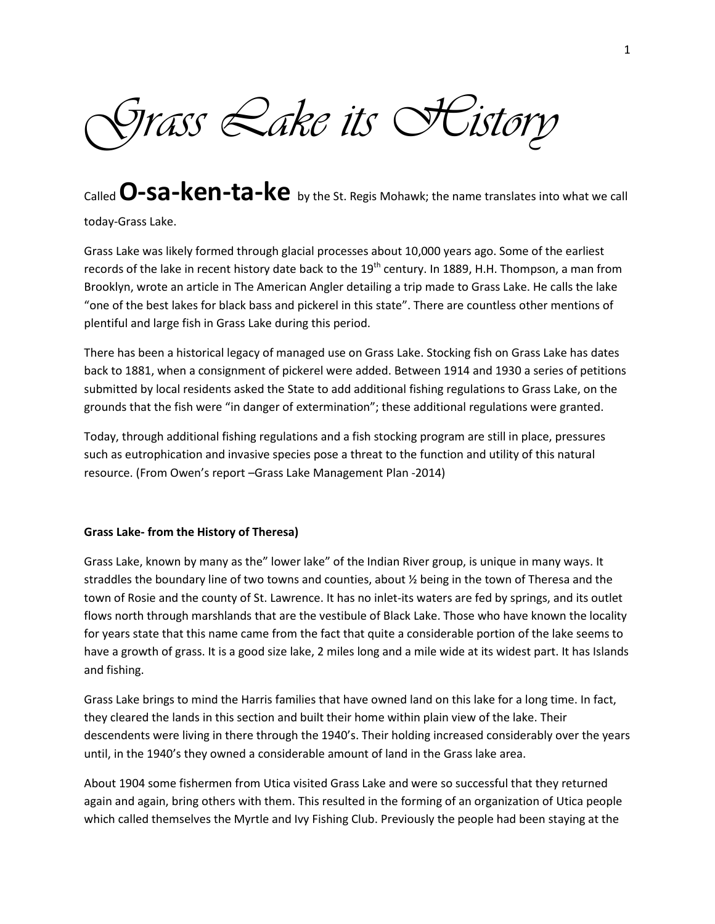*Grass Lake its History*

Called **O-sa-ken-ta-ke** by the St. Regis Mohawk; the name translates into what we call

today-Grass Lake.

Grass Lake was likely formed through glacial processes about 10,000 years ago. Some of the earliest records of the lake in recent history date back to the  $19<sup>th</sup>$  century. In 1889, H.H. Thompson, a man from Brooklyn, wrote an article in The American Angler detailing a trip made to Grass Lake. He calls the lake "one of the best lakes for black bass and pickerel in this state". There are countless other mentions of plentiful and large fish in Grass Lake during this period.

There has been a historical legacy of managed use on Grass Lake. Stocking fish on Grass Lake has dates back to 1881, when a consignment of pickerel were added. Between 1914 and 1930 a series of petitions submitted by local residents asked the State to add additional fishing regulations to Grass Lake, on the grounds that the fish were "in danger of extermination"; these additional regulations were granted.

Today, through additional fishing regulations and a fish stocking program are still in place, pressures such as eutrophication and invasive species pose a threat to the function and utility of this natural resource. (From Owen's report –Grass Lake Management Plan -2014)

## **Grass Lake- from the History of Theresa)**

Grass Lake, known by many as the" lower lake" of the Indian River group, is unique in many ways. It straddles the boundary line of two towns and counties, about ½ being in the town of Theresa and the town of Rosie and the county of St. Lawrence. It has no inlet-its waters are fed by springs, and its outlet flows north through marshlands that are the vestibule of Black Lake. Those who have known the locality for years state that this name came from the fact that quite a considerable portion of the lake seems to have a growth of grass. It is a good size lake, 2 miles long and a mile wide at its widest part. It has Islands and fishing.

Grass Lake brings to mind the Harris families that have owned land on this lake for a long time. In fact, they cleared the lands in this section and built their home within plain view of the lake. Their descendents were living in there through the 1940's. Their holding increased considerably over the years until, in the 1940's they owned a considerable amount of land in the Grass lake area.

About 1904 some fishermen from Utica visited Grass Lake and were so successful that they returned again and again, bring others with them. This resulted in the forming of an organization of Utica people which called themselves the Myrtle and Ivy Fishing Club. Previously the people had been staying at the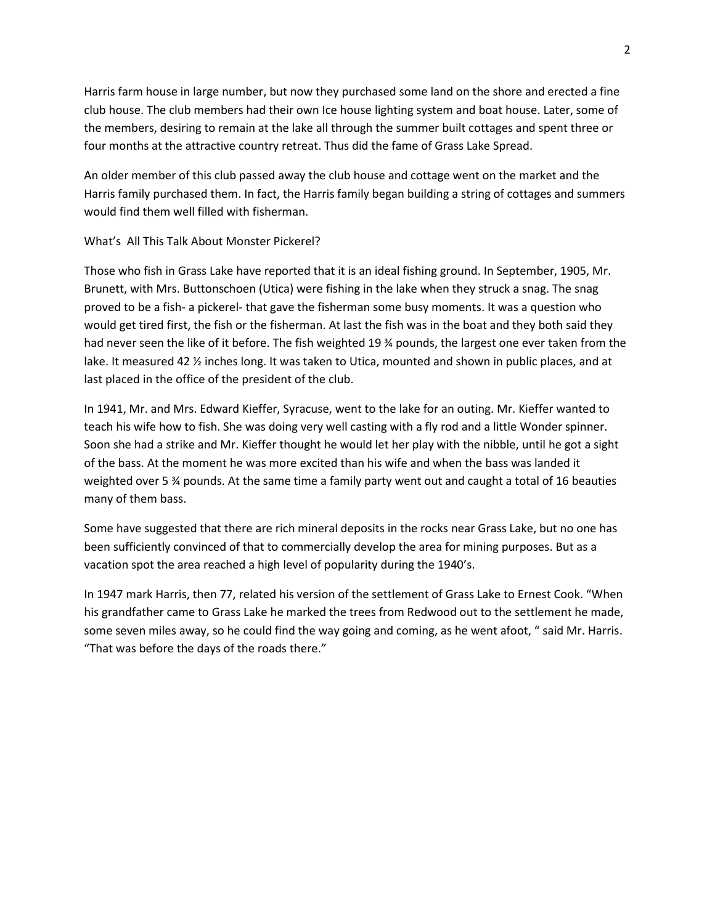Harris farm house in large number, but now they purchased some land on the shore and erected a fine club house. The club members had their own Ice house lighting system and boat house. Later, some of the members, desiring to remain at the lake all through the summer built cottages and spent three or four months at the attractive country retreat. Thus did the fame of Grass Lake Spread.

An older member of this club passed away the club house and cottage went on the market and the Harris family purchased them. In fact, the Harris family began building a string of cottages and summers would find them well filled with fisherman.

## What's All This Talk About Monster Pickerel?

Those who fish in Grass Lake have reported that it is an ideal fishing ground. In September, 1905, Mr. Brunett, with Mrs. Buttonschoen (Utica) were fishing in the lake when they struck a snag. The snag proved to be a fish- a pickerel- that gave the fisherman some busy moments. It was a question who would get tired first, the fish or the fisherman. At last the fish was in the boat and they both said they had never seen the like of it before. The fish weighted 19 % pounds, the largest one ever taken from the lake. It measured 42 % inches long. It was taken to Utica, mounted and shown in public places, and at last placed in the office of the president of the club.

In 1941, Mr. and Mrs. Edward Kieffer, Syracuse, went to the lake for an outing. Mr. Kieffer wanted to teach his wife how to fish. She was doing very well casting with a fly rod and a little Wonder spinner. Soon she had a strike and Mr. Kieffer thought he would let her play with the nibble, until he got a sight of the bass. At the moment he was more excited than his wife and when the bass was landed it weighted over 5 ¾ pounds. At the same time a family party went out and caught a total of 16 beauties many of them bass.

Some have suggested that there are rich mineral deposits in the rocks near Grass Lake, but no one has been sufficiently convinced of that to commercially develop the area for mining purposes. But as a vacation spot the area reached a high level of popularity during the 1940's.

In 1947 mark Harris, then 77, related his version of the settlement of Grass Lake to Ernest Cook. "When his grandfather came to Grass Lake he marked the trees from Redwood out to the settlement he made, some seven miles away, so he could find the way going and coming, as he went afoot, " said Mr. Harris. "That was before the days of the roads there."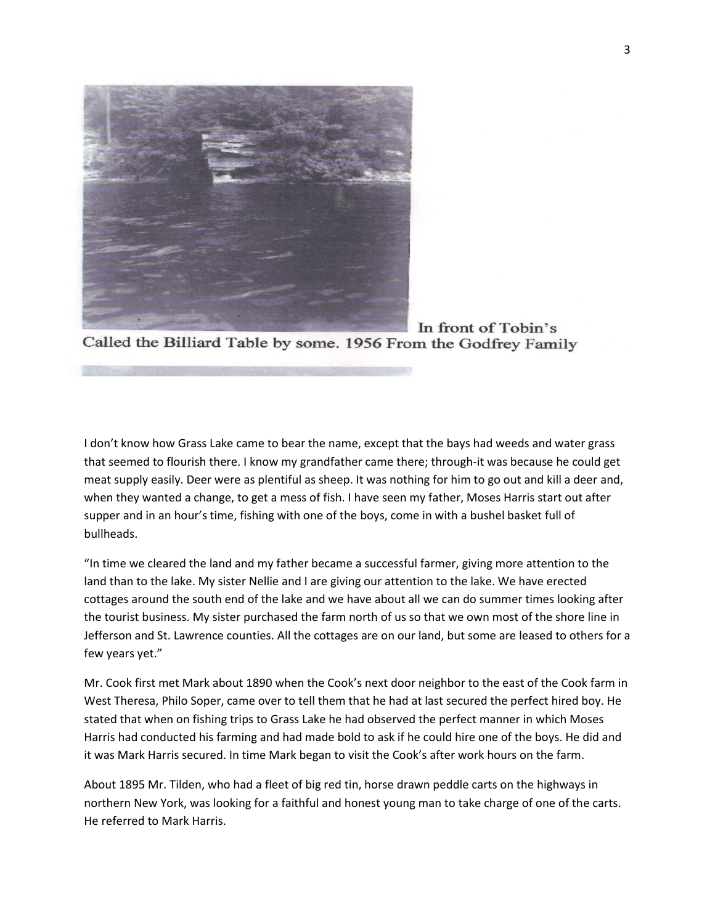

In front of Tobin's Called the Billiard Table by some. 1956 From the Godfrey Family

I don't know how Grass Lake came to bear the name, except that the bays had weeds and water grass that seemed to flourish there. I know my grandfather came there; through-it was because he could get meat supply easily. Deer were as plentiful as sheep. It was nothing for him to go out and kill a deer and, when they wanted a change, to get a mess of fish. I have seen my father, Moses Harris start out after supper and in an hour's time, fishing with one of the boys, come in with a bushel basket full of bullheads.

"In time we cleared the land and my father became a successful farmer, giving more attention to the land than to the lake. My sister Nellie and I are giving our attention to the lake. We have erected cottages around the south end of the lake and we have about all we can do summer times looking after the tourist business. My sister purchased the farm north of us so that we own most of the shore line in Jefferson and St. Lawrence counties. All the cottages are on our land, but some are leased to others for a few years yet."

Mr. Cook first met Mark about 1890 when the Cook's next door neighbor to the east of the Cook farm in West Theresa, Philo Soper, came over to tell them that he had at last secured the perfect hired boy. He stated that when on fishing trips to Grass Lake he had observed the perfect manner in which Moses Harris had conducted his farming and had made bold to ask if he could hire one of the boys. He did and it was Mark Harris secured. In time Mark began to visit the Cook's after work hours on the farm.

About 1895 Mr. Tilden, who had a fleet of big red tin, horse drawn peddle carts on the highways in northern New York, was looking for a faithful and honest young man to take charge of one of the carts. He referred to Mark Harris.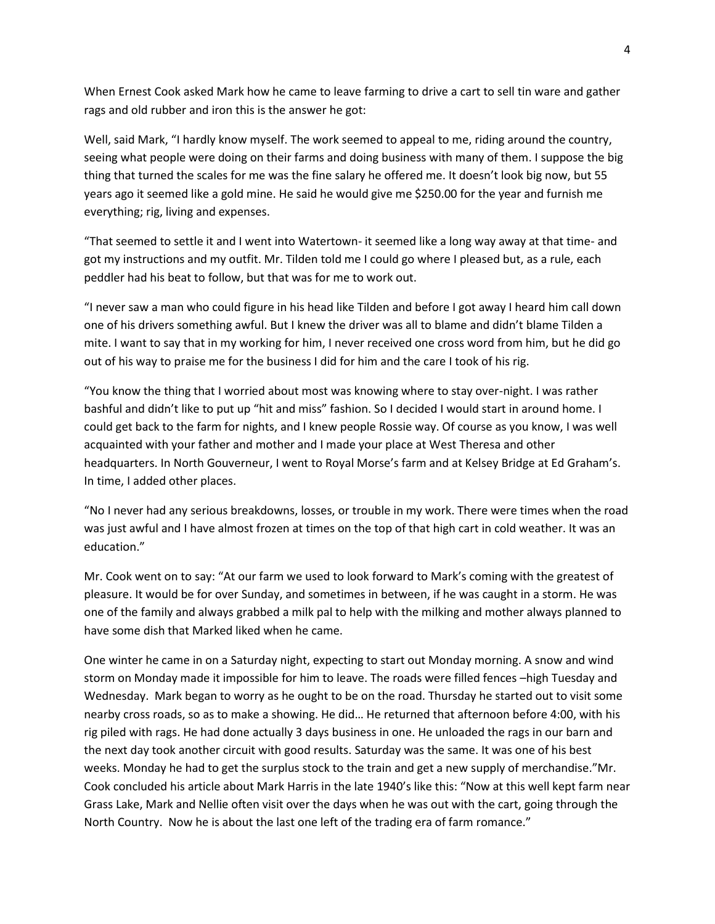When Ernest Cook asked Mark how he came to leave farming to drive a cart to sell tin ware and gather rags and old rubber and iron this is the answer he got:

Well, said Mark, "I hardly know myself. The work seemed to appeal to me, riding around the country, seeing what people were doing on their farms and doing business with many of them. I suppose the big thing that turned the scales for me was the fine salary he offered me. It doesn't look big now, but 55 years ago it seemed like a gold mine. He said he would give me \$250.00 for the year and furnish me everything; rig, living and expenses.

"That seemed to settle it and I went into Watertown- it seemed like a long way away at that time- and got my instructions and my outfit. Mr. Tilden told me I could go where I pleased but, as a rule, each peddler had his beat to follow, but that was for me to work out.

"I never saw a man who could figure in his head like Tilden and before I got away I heard him call down one of his drivers something awful. But I knew the driver was all to blame and didn't blame Tilden a mite. I want to say that in my working for him, I never received one cross word from him, but he did go out of his way to praise me for the business I did for him and the care I took of his rig.

"You know the thing that I worried about most was knowing where to stay over-night. I was rather bashful and didn't like to put up "hit and miss" fashion. So I decided I would start in around home. I could get back to the farm for nights, and I knew people Rossie way. Of course as you know, I was well acquainted with your father and mother and I made your place at West Theresa and other headquarters. In North Gouverneur, I went to Royal Morse's farm and at Kelsey Bridge at Ed Graham's. In time, I added other places.

"No I never had any serious breakdowns, losses, or trouble in my work. There were times when the road was just awful and I have almost frozen at times on the top of that high cart in cold weather. It was an education."

Mr. Cook went on to say: "At our farm we used to look forward to Mark's coming with the greatest of pleasure. It would be for over Sunday, and sometimes in between, if he was caught in a storm. He was one of the family and always grabbed a milk pal to help with the milking and mother always planned to have some dish that Marked liked when he came.

One winter he came in on a Saturday night, expecting to start out Monday morning. A snow and wind storm on Monday made it impossible for him to leave. The roads were filled fences –high Tuesday and Wednesday. Mark began to worry as he ought to be on the road. Thursday he started out to visit some nearby cross roads, so as to make a showing. He did… He returned that afternoon before 4:00, with his rig piled with rags. He had done actually 3 days business in one. He unloaded the rags in our barn and the next day took another circuit with good results. Saturday was the same. It was one of his best weeks. Monday he had to get the surplus stock to the train and get a new supply of merchandise."Mr. Cook concluded his article about Mark Harris in the late 1940's like this: "Now at this well kept farm near Grass Lake, Mark and Nellie often visit over the days when he was out with the cart, going through the North Country. Now he is about the last one left of the trading era of farm romance."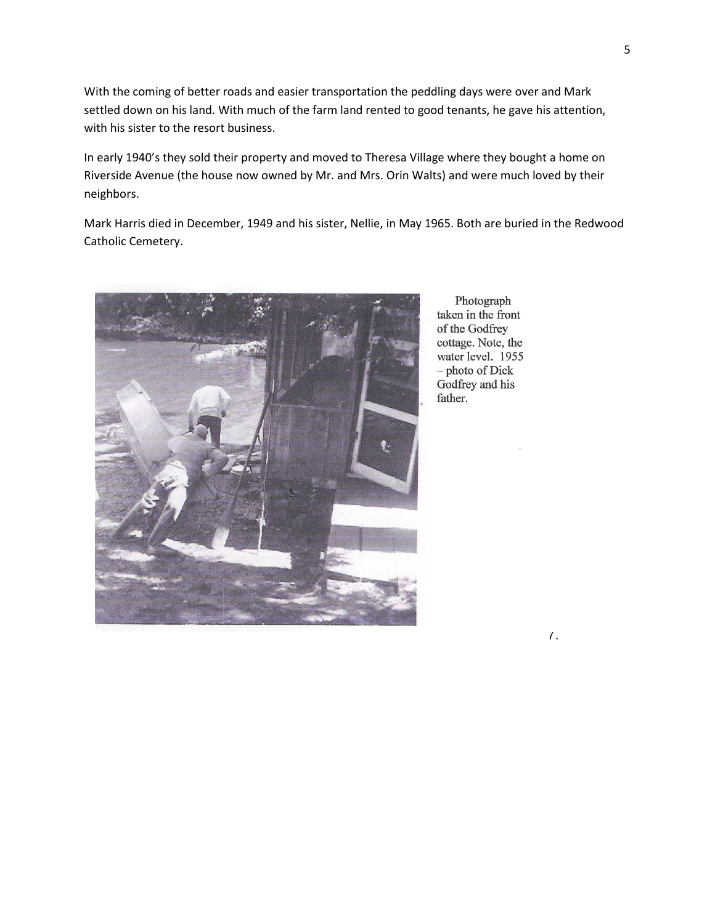With the coming of better roads and easier transportation the peddling days were over and Mark settled down on his land. With much of the farm land rented to good tenants, he gave his attention, with his sister to the resort business.

In early 1940's they sold their property and moved to Theresa Village where they bought a home on Riverside Avenue (the house now owned by Mr. and Mrs. Orin Walts) and were much loved by their neighbors.

Mark Harris died in December, 1949 and his sister, Nellie, in May 1965. Both are buried in the Redwood Catholic Cemetery.



Photograph taken in the front of the Godfrey cottage. Note, the water level. 1955 - photo of Dick Godfrey and his father.

7.